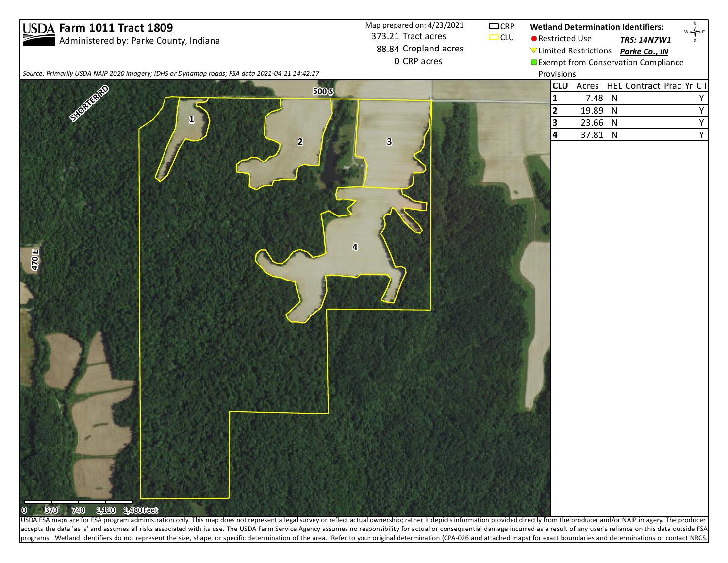## **Farm 1011 Tract 1809**

Administered by: Parke County, Indiana

373.21 Tract acres 88.84 Cropland acres 0 CRP acres Map prepared on:  $4/23/2021$   $\qquad \qquad \Box$  CRP

 $\Box$ CLU

**Wetland Determination Identifiers:**

Provisions

- Restricted Use &- *TRS: 14N7W1*
	- #\* Limited Restrictions *Parke Co., IN*
	- **Exempt from Conservation Compliance**

 $\begin{array}{c}\n\mathbb{R} \\
\downarrow \\
\mathbb{R} \\
\mathbb{R}\n\end{array}$ 

*Source: Primarily USDA NAIP 2020 imagery; IDHS or Dynamap roads; FSA data 2021-04-21 14:42:27*



accepts the data 'as is' and assumes all risks associated with its use. The USDA Farm Service Agency assumes no responsibility for actual or consequential damage incurred as a result of any user's reliance on this data out programs. Wetland identifiers do not represent the size, shape, or specific determination of the area. Refer to your original determination (CPA-026 and attached maps) for exact boundaries and determinations or contact NRCS.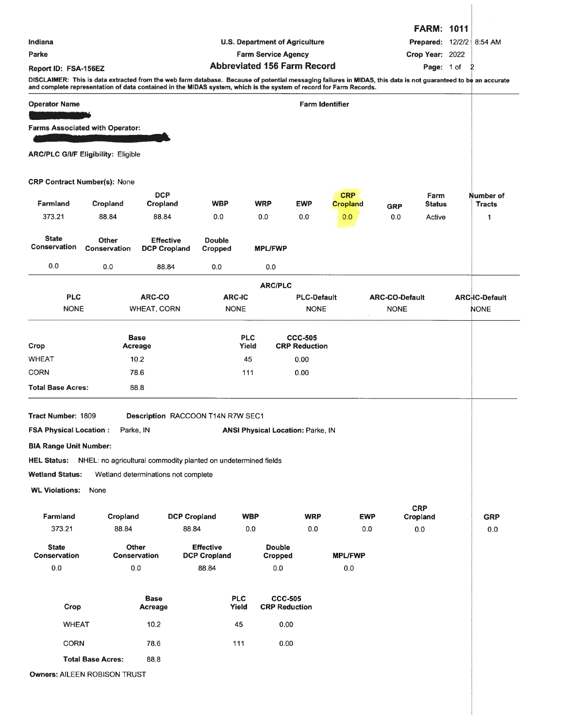|                               |                                            |                                                                                                                                                                                                                                                                                      |                                       |                     |                                        |                                          |                               |                           | <b>FARM: 1011</b>            |  |                            |
|-------------------------------|--------------------------------------------|--------------------------------------------------------------------------------------------------------------------------------------------------------------------------------------------------------------------------------------------------------------------------------------|---------------------------------------|---------------------|----------------------------------------|------------------------------------------|-------------------------------|---------------------------|------------------------------|--|----------------------------|
| Indiana                       |                                            |                                                                                                                                                                                                                                                                                      | <b>U.S. Department of Agriculture</b> |                     |                                        |                                          |                               | Prepared: 12/2/21 8:54 AM |                              |  |                            |
| Parke                         |                                            |                                                                                                                                                                                                                                                                                      | <b>Farm Service Agency</b>            |                     |                                        | Crop Year: 2022                          |                               |                           |                              |  |                            |
| Report ID: FSA-156EZ          |                                            |                                                                                                                                                                                                                                                                                      |                                       |                     |                                        | <b>Abbreviated 156 Farm Record</b>       |                               | Page: 1 of 2              |                              |  |                            |
|                               |                                            | DISCLAIMER: This is data extracted from the web farm database. Because of potential messaging failures in MIDAS, this data is not guaranteed to be an accurate<br>and complete representation of data contained in the MIDAS system, which is the system of record for Farm Records. |                                       |                     |                                        |                                          |                               |                           |                              |  |                            |
| <b>Operator Name</b>          |                                            |                                                                                                                                                                                                                                                                                      |                                       |                     |                                        | <b>Farm Identifier</b>                   |                               |                           |                              |  |                            |
|                               |                                            |                                                                                                                                                                                                                                                                                      |                                       |                     |                                        |                                          |                               |                           |                              |  |                            |
|                               | Farms Associated with Operator:            |                                                                                                                                                                                                                                                                                      |                                       |                     |                                        |                                          |                               |                           |                              |  |                            |
|                               | <b>ARC/PLC G/I/F Eligibility: Eligible</b> |                                                                                                                                                                                                                                                                                      |                                       |                     |                                        |                                          |                               |                           |                              |  |                            |
|                               | <b>CRP Contract Number(s): None</b>        |                                                                                                                                                                                                                                                                                      |                                       |                     |                                        |                                          |                               |                           |                              |  |                            |
| Farmland                      | Cropland                                   | <b>DCP</b><br>Cropland                                                                                                                                                                                                                                                               | <b>WBP</b>                            |                     | <b>WRP</b>                             | <b>EWP</b>                               | <b>CRP</b><br><b>Cropland</b> |                           | <b>Farm</b><br><b>Status</b> |  | Number of<br><b>Tracts</b> |
| 373.21                        | 88.84                                      | 88.84                                                                                                                                                                                                                                                                                | 0.0                                   |                     | 0.0                                    | 0.0                                      | 0.0                           | <b>GRP</b><br>0.0         | Active                       |  | $\mathbf{1}$               |
| <b>State</b>                  | <b>Other</b>                               | <b>Effective</b>                                                                                                                                                                                                                                                                     | <b>Double</b>                         |                     |                                        |                                          |                               |                           |                              |  |                            |
| Conservation                  | Conservation                               | <b>DCP Cropland</b>                                                                                                                                                                                                                                                                  | <b>Cropped</b>                        |                     | <b>MPL/FWP</b>                         |                                          |                               |                           |                              |  |                            |
| 0.0                           | 0.0                                        | 88.84                                                                                                                                                                                                                                                                                | 0.0                                   |                     | 0.0                                    |                                          |                               |                           |                              |  |                            |
|                               |                                            |                                                                                                                                                                                                                                                                                      |                                       |                     | <b>ARC/PLC</b>                         |                                          |                               |                           |                              |  |                            |
| <b>PLC</b>                    |                                            | ARC-CO                                                                                                                                                                                                                                                                               | <b>ARC-IC</b>                         |                     |                                        | <b>PLC-Default</b>                       |                               | <b>ARC-CO-Default</b>     |                              |  | <b>ARC-IC-Default</b>      |
|                               | <b>NONE</b><br><b>WHEAT, CORN</b>          |                                                                                                                                                                                                                                                                                      | <b>NONE</b>                           |                     |                                        | <b>NONE</b>                              |                               | <b>NONE</b>               |                              |  | <b>NONE</b>                |
|                               |                                            |                                                                                                                                                                                                                                                                                      |                                       |                     |                                        |                                          |                               |                           |                              |  |                            |
| Crop                          |                                            | Base<br>Acreage                                                                                                                                                                                                                                                                      |                                       | <b>PLC</b><br>Yield |                                        | <b>CCC-505</b><br><b>CRP Reduction</b>   |                               |                           |                              |  |                            |
| <b>WHEAT</b>                  |                                            | 10.2                                                                                                                                                                                                                                                                                 |                                       | 45                  |                                        | 0.00                                     |                               |                           |                              |  |                            |
| <b>CORN</b>                   |                                            | 78.6                                                                                                                                                                                                                                                                                 |                                       | 111                 |                                        | 0.00                                     |                               |                           |                              |  |                            |
| <b>Total Base Acres:</b>      |                                            | 88.8                                                                                                                                                                                                                                                                                 |                                       |                     |                                        |                                          |                               |                           |                              |  |                            |
|                               |                                            |                                                                                                                                                                                                                                                                                      |                                       |                     |                                        |                                          |                               |                           |                              |  |                            |
| Tract Number: 1809            |                                            | Description RACCOON T14N R7W SEC1                                                                                                                                                                                                                                                    |                                       |                     |                                        |                                          |                               |                           |                              |  |                            |
| <b>FSA Physical Location:</b> | Parke, IN                                  |                                                                                                                                                                                                                                                                                      |                                       |                     |                                        | <b>ANSI Physical Location: Parke, IN</b> |                               |                           |                              |  |                            |
| <b>BIA Range Unit Number:</b> |                                            |                                                                                                                                                                                                                                                                                      |                                       |                     |                                        |                                          |                               |                           |                              |  |                            |
|                               |                                            | HEL Status: NHEL: no agricultural commodity planted on undetermined fields                                                                                                                                                                                                           |                                       |                     |                                        |                                          |                               |                           |                              |  |                            |
| <b>Wetland Status:</b>        |                                            | Wetland determinations not complete                                                                                                                                                                                                                                                  |                                       |                     |                                        |                                          |                               |                           |                              |  |                            |
| <b>WL Violations:</b>         | None                                       |                                                                                                                                                                                                                                                                                      |                                       |                     |                                        |                                          |                               |                           |                              |  |                            |
|                               |                                            |                                                                                                                                                                                                                                                                                      |                                       |                     |                                        |                                          |                               |                           |                              |  |                            |
| Farmland                      | Cropland                                   | <b>DCP Cropland</b>                                                                                                                                                                                                                                                                  |                                       | <b>WBP</b>          |                                        | <b>WRP</b>                               |                               | <b>EWP</b>                | <b>CRP</b><br>Cropland       |  | <b>GRP</b>                 |
| 373.21                        | 88.84                                      | 88.84                                                                                                                                                                                                                                                                                |                                       | 0.0                 |                                        | 0.0                                      |                               | 0.0                       | $0.0\,$                      |  | 0.0                        |
| <b>State</b>                  |                                            | <b>Other</b>                                                                                                                                                                                                                                                                         | <b>Effective</b>                      |                     | <b>Double</b>                          |                                          |                               |                           |                              |  |                            |
| Conservation                  |                                            | Conservation                                                                                                                                                                                                                                                                         | <b>DCP Cropland</b>                   |                     | Cropped                                |                                          | <b>MPL/FWP</b>                |                           |                              |  |                            |
| 0.0                           |                                            | 0.0                                                                                                                                                                                                                                                                                  | 88.84                                 |                     | 0.0                                    |                                          | 0.0                           |                           |                              |  |                            |
|                               |                                            |                                                                                                                                                                                                                                                                                      |                                       |                     |                                        |                                          |                               |                           |                              |  |                            |
| Crop                          |                                            | <b>Base</b><br>Acreage                                                                                                                                                                                                                                                               |                                       | <b>PLC</b><br>Yield | <b>CCC-505</b><br><b>CRP Reduction</b> |                                          |                               |                           |                              |  |                            |
| <b>WHEAT</b>                  |                                            | 10.2                                                                                                                                                                                                                                                                                 |                                       | 45                  | 0.00                                   |                                          |                               |                           |                              |  |                            |
| <b>CORN</b>                   |                                            | 78.6                                                                                                                                                                                                                                                                                 |                                       | 111                 | 0.00                                   |                                          |                               |                           |                              |  |                            |
|                               |                                            |                                                                                                                                                                                                                                                                                      |                                       |                     |                                        |                                          |                               |                           |                              |  |                            |
|                               | <b>Total Base Acres:</b>                   | 88.8                                                                                                                                                                                                                                                                                 |                                       |                     |                                        |                                          |                               |                           |                              |  |                            |

Owners: AILEEN ROBISON TRUST